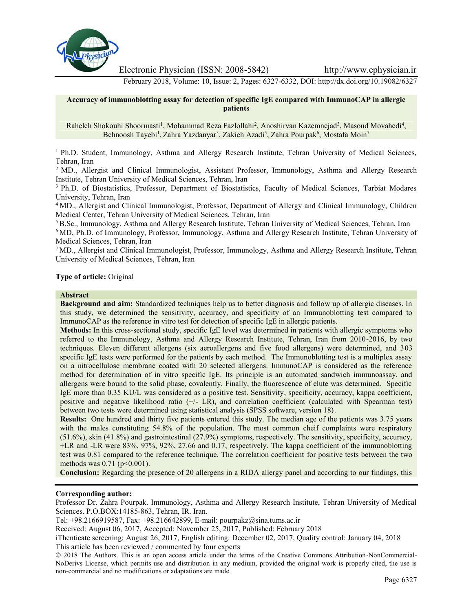

Electronic Physician (ISSN: 2008-5842) http://www.ephysician.ir

February 2018, Volume: 10, Issue: 2, Pages: 6327-6332, DOI: http://dx.doi.org/10.19082/6327

#### **Accuracy of immunoblotting assay for detection of specific IgE compared with ImmunoCAP in allergic patients**

Raheleh Shokouhi Shoormasti<sup>1</sup>, Mohammad Reza Fazlollahi<sup>2</sup>, Anoshirvan Kazemnejad<sup>3</sup>, Masoud Movahedi<sup>4</sup>, Behnoosh Tayebi<sup>1</sup>, Zahra Yazdanyar<sup>5</sup>, Zakieh Azadi<sup>5</sup>, Zahra Pourpak<sup>6</sup>, Mostafa Moin<sup>7</sup>

<sup>1</sup> Ph.D. Student, Immunology, Asthma and Allergy Research Institute, Tehran University of Medical Sciences, Tehran, Iran

<sup>2</sup> MD., Allergist and Clinical Immunologist, Assistant Professor, Immunology, Asthma and Allergy Research Institute, Tehran University of Medical Sciences, Tehran, Iran

<sup>3</sup> Ph.D. of Biostatistics, Professor, Department of Biostatistics, Faculty of Medical Sciences, Tarbiat Modares University, Tehran, Iran

<sup>4</sup> MD., Allergist and Clinical Immunologist, Professor, Department of Allergy and Clinical Immunology, Children Medical Center, Tehran University of Medical Sciences, Tehran, Iran

<sup>5</sup> B.Sc., Immunology, Asthma and Allergy Research Institute, Tehran University of Medical Sciences, Tehran, Iran

<sup>6</sup> MD, Ph.D. of Immunology, Professor, Immunology, Asthma and Allergy Research Institute, Tehran University of Medical Sciences, Tehran, Iran

<sup>7</sup> MD., Allergist and Clinical Immunologist, Professor, Immunology, Asthma and Allergy Research Institute, Tehran University of Medical Sciences, Tehran, Iran

**Type of article:** Original

#### **Abstract**

**Background and aim:** Standardized techniques help us to better diagnosis and follow up of allergic diseases. In this study, we determined the sensitivity, accuracy, and specificity of an Immunoblotting test compared to ImmunoCAP as the reference in vitro test for detection of specific IgE in allergic patients.

**Methods:** In this cross-sectional study, specific IgE level was determined in patients with allergic symptoms who referred to the Immunology, Asthma and Allergy Research Institute, Tehran, Iran from 2010-2016, by two techniques. Eleven different allergens (six aeroallergens and five food allergens) were determined, and 303 specific IgE tests were performed for the patients by each method. The Immunoblotting test is a multiplex assay on a nitrocellulose membrane coated with 20 selected allergens. ImmunoCAP is considered as the reference method for determination of in vitro specific IgE. Its principle is an automated sandwich immunoassay, and allergens were bound to the solid phase, covalently. Finally, the fluorescence of elute was determined. Specific IgE more than 0.35 KU/L was considered as a positive test. Sensitivity, specificity, accuracy, kappa coefficient, positive and negative likelihood ratio (+/- LR), and correlation coefficient (calculated with Spearman test) between two tests were determined using statistical analysis (SPSS software, version 18).

**Results:** One hundred and thirty five patients entered this study. The median age of the patients was 3.75 years with the males constituting 54.8% of the population. The most common cheif complaints were respiratory (51.6%), skin (41.8%) and gastrointestinal (27.9%) symptoms, respectively. The sensitivity, specificity, accuracy, +LR and -LR were 83%, 97%, 92%, 27.66 and 0.17, respectively. The kappa coefficient of the immunoblotting test was 0.81 compared to the reference technique. The correlation coefficient for positive tests between the two methods was 0.71 (p<0.001).

**Conclusion:** Regarding the presence of 20 allergens in a RIDA allergy panel and according to our findings, this

# **Corresponding author:**

Professor Dr. Zahra Pourpak. Immunology, Asthma and Allergy Research Institute, Tehran University of Medical Sciences. P.O.BOX:14185-863, Tehran, IR. Iran.

Tel: +98.2166919587, Fax: +98.216642899, E-mail: pourpakz@sina.tums.ac.ir

Received: August 06, 2017, Accepted: November 25, 2017, Published: February 2018

iThenticate screening: August 26, 2017, English editing: December 02, 2017, Quality control: January 04, 2018 This article has been reviewed / commented by four experts

© 2018 The Authors. This is an open access article under the terms of the Creative Commons Attribution-NonCommercial- NoDerivs License, which permits use and distribution in any medium, provided the original work is properly cited, the use is non-commercial and no modifications or adaptations are made.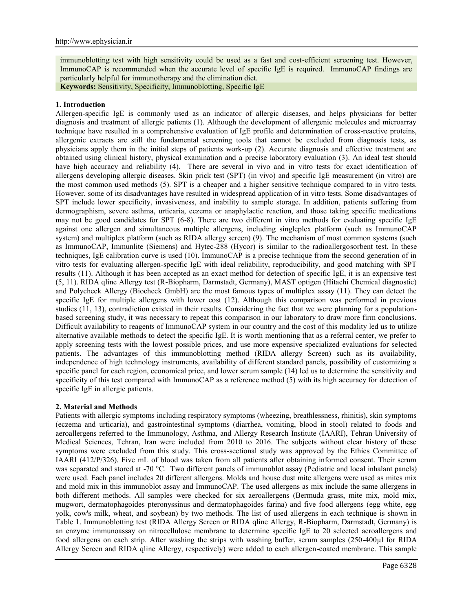immunoblotting test with high sensitivity could be used as a fast and cost-efficient screening test. However, ImmunoCAP is recommended when the accurate level of specific IgE is required. ImmunoCAP findings are particularly helpful for immunotherapy and the elimination diet.

**Keywords:** Sensitivity, Specificity, Immunoblotting, Specific IgE

#### **1. Introduction**

Allergen-specific IgE is commonly used as an indicator of allergic diseases, and helps physicians for better diagnosis and treatment of allergic patients (1). Although the development of allergenic molecules and microarray technique have resulted in a comprehensive evaluation of IgE profile and determination of cross-reactive proteins, allergenic extracts are still the fundamental screening tools that cannot be excluded from diagnosis tests, as physicians apply them in the initial steps of patients work-up (2). Accurate diagnosis and effective treatment are obtained using clinical history, physical examination and a precise laboratory evaluation (3). An ideal test should have high accuracy and reliability (4). There are several in vivo and in vitro tests for exact identification of allergens developing allergic diseases. Skin prick test (SPT) (in vivo) and specific IgE measurement (in vitro) are the most common used methods (5). SPT is a cheaper and a higher sensitive technique compared to in vitro tests. However, some of its disadvantages have resulted in widespread application of in vitro tests. Some disadvantages of SPT include lower specificity, invasiveness, and inability to sample storage. In addition, patients suffering from dermographism, severe asthma, urticaria, eczema or anaphylactic reaction, and those taking specific medications may not be good candidates for SPT (6-8). There are two different in vitro methods for evaluating specific IgE against one allergen and simultaneous multiple allergens, including singleplex platform (such as ImmunoCAP system) and multiplex platform (such as RIDA allergy screen) (9). The mechanism of most common systems (such as ImmunoCAP, Immunlite (Siemens) and Hytec-288 (Hycor) is similar to the radioallergosorbent test. In these techniques, IgE calibration curve is used (10). ImmunoCAP is a precise technique from the second generation of in vitro tests for evaluating allergen-specific IgE with ideal reliability, reproducibility, and good matching with SPT results (11). Although it has been accepted as an exact method for detection of specific IgE, it is an expensive test (5, 11). RIDA qline Allergy test (R-Biopharm, Darmstadt, Germany), MAST optigen (Hitachi Chemical diagnostic) and Polycheck Allergy (Biocheck GmbH) are the most famous types of multiplex assay (11). They can detect the specific IgE for multiple allergens with lower cost (12). Although this comparison was performed in previous studies (11, 13), contradiction existed in their results. Considering the fact that we were planning for a population based screening study, it was necessary to repeat this comparison in our laboratory to draw more firm conclusions. Difficult availability to reagents of ImmunoCAP system in our country and the cost of this modality led us to utilize alternative available methods to detect the specific IgE. It is worth mentioning that as a referral center, we prefer to apply screening tests with the lowest possible prices, and use more expensive specialized evaluations for selected patients. The advantages of this immunoblotting method (RIDA allergy Screen) such as its availability, independence of high technology instruments, availability of different standard panels, possibility of customizing a specific panel for each region, economical price, and lower serum sample (14) led us to determine the sensitivity and specificity of this test compared with ImmunoCAP as a reference method (5) with its high accuracy for detection of specific IgE in allergic patients.

## **2. Material and Methods**

Patients with allergic symptoms including respiratory symptoms (wheezing, breathlessness, rhinitis), skin symptoms (eczema and urticaria), and gastrointestinal symptoms (diarrhea, vomiting, blood in stool) related to foods and aeroallergens referred to the Immunology, Asthma, and Allergy Research Institute (IAARI), Tehran University of Medical Sciences, Tehran, Iran were included from 2010 to 2016. The subjects without clear history of these symptoms were excluded from this study. This cross-sectional study was approved by the Ethics Committee of IAARI (412/P/326). Five mL of blood was taken from all patients after obtaining informed consent. Their serum was separated and stored at -70 °C. Two different panels of immunoblot assay (Pediatric and local inhalant panels) were used. Each panel includes 20 different allergens. Molds and house dust mite allergens were used as mites mix and mold mix in this immunoblot assay and ImmunoCAP. The used allergens as mix include the same allergens in both different methods. All samples were checked for six aeroallergens (Bermuda grass, mite mix, mold mix, mugwort, dermatophagoides pteronyssinus and dermatophagoides farina) and five food allergens (egg white, egg yolk, cow's milk, wheat, and soybean) by two methods. The list of used allergens in each technique is shown in Table 1. Immunoblotting test (RIDA Allergy Screen or RIDA qline Allergy, R-Biopharm, Darmstadt, Germany) is an enzyme immunoassay on nitrocellulose membrane to determine specific IgE to 20 selected aeroallergens and food allergens on each strip. After washing the strips with washing buffer, serum samples (250-400µl for RIDA Allergy Screen and RIDA qline Allergy, respectively) were added to each allergen-coated membrane. This sample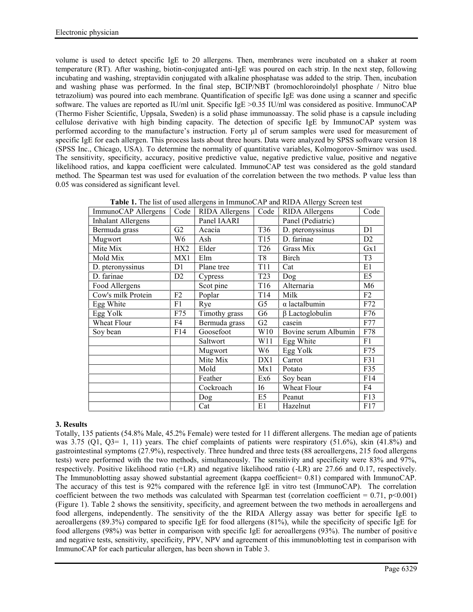volume is used to detect specific IgE to 20 allergens. Then, membranes were incubated on a shaker at room temperature (RT). After washing, biotin-conjugated anti-IgE was poured on each strip. In the next step, following incubating and washing, streptavidin conjugated with alkaline phosphatase was added to the strip. Then, incubation and washing phase was performed. In the final step, BCIP/NBT (bromochloroindolyl phosphate / Nitro blue tetrazolium) was poured into each membrane. Quantification of specific IgE was done using a scanner and specific software. The values are reported as IU/ml unit. Specific IgE >0.35 IU/ml was considered as positive. ImmunoCAP (Thermo Fisher Scientific, Uppsala, Sweden) is a solid phase immunoassay. The solid phase is a capsule including cellulose derivative with high binding capacity. The detection of specific IgE by ImmunoCAP system was performed according to the manufacture's instruction. Forty  $\mu$ l of serum samples were used for measurement of specific IgE for each allergen. This process lasts about three hours. Data were analyzed by SPSS software version 18 (SPSS Inc., Chicago, USA). To determine the normality of quantitative variables, Kolmogorov-Smirnov was used. The sensitivity, specificity, accuracy, positive predictive value, negative predictive value, positive and negative likelihood ratios, and kappa coefficient were calculated. ImmunoCAP test was considered as the gold standard method. The Spearman test was used for evaluation of the correlation between the two methods. P value less than 0.05 was considered as significant level.

| ImmunoCAP Allergens       | Code            | RIDA Allergens | Code            | RIDA Allergens        | Code           |
|---------------------------|-----------------|----------------|-----------------|-----------------------|----------------|
| <b>Inhalant Allergens</b> |                 | Panel IAARI    |                 | Panel (Pediatric)     |                |
| Bermuda grass             | G2              | Acacia         | T36             | D. pteronyssinus      | D1             |
| Mugwort                   | W6              | Ash            | T <sub>15</sub> | D. farinae            | D <sub>2</sub> |
| Mite Mix                  | HX <sub>2</sub> | Elder          | T <sub>26</sub> | Grass Mix             | Gx1            |
| Mold Mix                  | MX1             | Elm            | T <sub>8</sub>  | Birch                 | T <sub>3</sub> |
| D. pteronyssinus          | D1              | Plane tree     | T <sub>11</sub> | Cat                   | E1             |
| D. farinae                | D <sub>2</sub>  | Cypress        | T <sub>23</sub> | Dog                   | E5             |
| Food Allergens            |                 | Scot pine      | T <sub>16</sub> | Alternaria            | M6             |
| Cow's milk Protein        | F2              | Poplar         | T <sub>14</sub> | Milk                  | F2             |
| Egg White                 | F1              | Rye            | G <sub>5</sub>  | $\alpha$ lactalbumin  | F72            |
| Egg Yolk                  | F75             | Timothy grass  | G6              | $\beta$ Lactoglobulin | F76            |
| Wheat Flour               | F4              | Bermuda grass  | G2              | casein                | F77            |
| Soy bean                  | F14             | Goosefoot      | W10             | Bovine serum Albumin  | F78            |
|                           |                 | Saltwort       | W11             | Egg White             | F1             |
|                           |                 | Mugwort        | W6              | Egg Yolk              | F75            |
|                           |                 | Mite Mix       | DX1             | Carrot                | F31            |
|                           |                 | Mold           | Mx1             | Potato                | F35            |
|                           |                 | Feather        | Ex6             | Soy bean              | F14            |
|                           |                 | Cockroach      | 16              | Wheat Flour           | F4             |
|                           |                 | Dog            | E5              | Peanut                | F13            |
|                           |                 | Cat            | E1              | Hazelnut              | F17            |

**Table 1.** The list of used allergens in ImmunoCAP and RIDA Allergy Screen test

# **3. Results**

Totally, 135 patients (54.8% Male, 45.2% Female) were tested for 11 different allergens. The median age of patients was 3.75 (Q1, Q3= 1, 11) years. The chief complaints of patients were respiratory (51.6%), skin (41.8%) and gastrointestinal symptoms (27.9%), respectively. Three hundred and three tests (88 aeroallergens, 215 food allergens tests) were performed with the two methods, simultaneously. The sensitivity and specificity were 83% and 97%, respectively. Positive likelihood ratio (+LR) and negative likelihood ratio (-LR) are 27.66 and 0.17, respectively. The Immunoblotting assay showed substantial agreement (kappa coefficient= 0.81) compared with ImmunoCAP. The accuracy of this test is 92% compared with the reference IgE in vitro test (ImmunoCAP). The correlation coefficient between the two methods was calculated with Spearman test (correlation coefficient =  $0.71$ , p<0.001) (Figure 1). Table 2 shows the sensitivity, specificity, and agreement between the two methods in aeroallergens and food allergens, independently. The sensitivity of the the RIDA Allergy assay was better for specific IgE to aeroallergens (89.3%) compared to specific IgE for food allergens (81%), while the specificity of specific IgE for food allergens (98%) was better in comparison with specific IgE for aeroallergens (93%). The number of positive and negative tests, sensitivity, specificity, PPV, NPV and agreement of this immunoblotting test in comparison with ImmunoCAP for each particular allergen, has been shown in Table 3.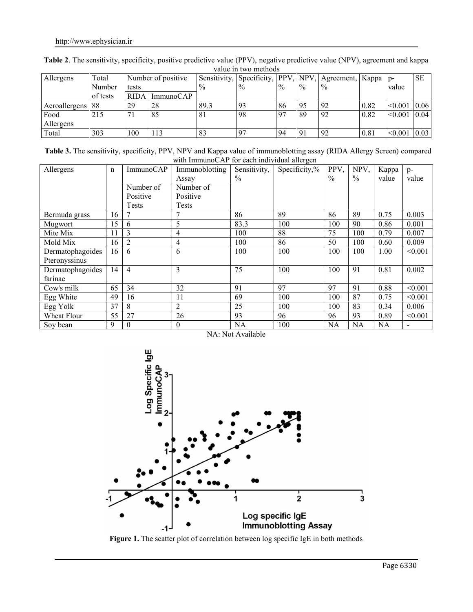| Allergens     | Total    | Number of positive |           |               | Sensitivity, Specificity, | $PPV_{1}$     | NPV,        | Agreement, Kappa   p- |      |         | <b>SE</b> |
|---------------|----------|--------------------|-----------|---------------|---------------------------|---------------|-------------|-----------------------|------|---------|-----------|
|               | Number   | tests              |           | $\frac{0}{0}$ | $\frac{0}{0}$             | $\frac{0}{0}$ | $^{0}/_{0}$ | $\frac{0}{0}$         |      | value   |           |
|               | of tests | <b>RIDA</b>        | ImmunoCAP |               |                           |               |             |                       |      |         |           |
| Aeroallergens | 88       | 29                 | 28        | 89.3          | 93                        | 86            | 95          | 92                    | 0.82 | < 0.001 | 0.06      |
| Food          | 215      |                    | 85        | 81            | 98                        | .97           | 89          | 92                    | 0.82 | < 0.001 | 0.04      |
| Allergens     |          |                    |           |               |                           |               |             |                       |      |         |           |
| Total         | 303      | 100                | 113       | 83            | 97                        | 94            | 91          | 92                    | 0.81 | < 0.001 | 0.03      |

**Table 2**. The sensitivity, specificity, positive predictive value (PPV), negative predictive value (NPV), agreement and kappa value in two methods

Table 3. The sensitivity, specificity, PPV, NPV and Kappa value of immunoblotting assay (RIDA Allergy Screen) compared with ImmunoCAP for each individual allergen

| Allergens        | $\mathbf n$ | ImmunoCAP      | Immunoblotting | Sensitivity,  | Specificity, $\%$ | PPV,          | NPV,          | Kappa     | $p-$                     |
|------------------|-------------|----------------|----------------|---------------|-------------------|---------------|---------------|-----------|--------------------------|
|                  |             |                | Assay          | $\frac{0}{0}$ |                   | $\frac{0}{0}$ | $\frac{0}{0}$ | value     | value                    |
|                  |             | Number of      | Number of      |               |                   |               |               |           |                          |
|                  |             | Positive       | Positive       |               |                   |               |               |           |                          |
|                  |             | <b>Tests</b>   | Tests          |               |                   |               |               |           |                          |
| Bermuda grass    | 16          |                | 7              | 86            | 89                | 86            | 89            | 0.75      | 0.003                    |
| Mugwort          | 15          | 6              | 5              | 83.3          | 100               | 100           | 90            | 0.86      | 0.001                    |
| Mite Mix         | 11          | 3              | 4              | 100           | 88                | 75            | 100           | 0.79      | 0.007                    |
| Mold Mix         | 16          | 2              | 4              | 100           | 86                | 50            | 100           | 0.60      | 0.009                    |
| Dermatophagoides | 16          | 6              | 6              | 100           | 100               | 100           | 100           | 1.00      | < 0.001                  |
| Pteronyssinus    |             |                |                |               |                   |               |               |           |                          |
| Dermatophagoides | 14          | $\overline{4}$ | 3              | 75            | 100               | 100           | 91            | 0.81      | 0.002                    |
| farinae          |             |                |                |               |                   |               |               |           |                          |
| Cow's milk       | 65          | 34             | 32             | 91            | 97                | 97            | 91            | 0.88      | < 0.001                  |
| Egg White        | 49          | 16             | 11             | 69            | 100               | 100           | 87            | 0.75      | < 0.001                  |
| Egg Yolk         | 37          | 8              | $\overline{2}$ | 25            | 100               | 100           | 83            | 0.34      | 0.006                    |
| Wheat Flour      | 55          | 27             | 26             | 93            | 96                | 96            | 93            | 0.89      | < 0.001                  |
| Soy bean         | 9           | $\Omega$       | $\theta$       | <b>NA</b>     | 100               | <b>NA</b>     | <b>NA</b>     | <b>NA</b> | $\overline{\phantom{a}}$ |





**Figure 1.** The scatter plot of correlation between log specific IgE in both methods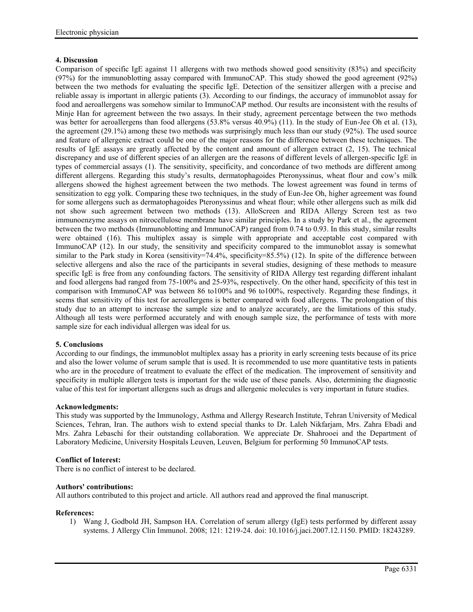## **4. Discussion**

Comparison of specific IgE against 11 allergens with two methods showed good sensitivity (83%) and specificity (97%) for the immunoblotting assay compared with ImmunoCAP. This study showed the good agreement (92%) between the two methods for evaluating the specific IgE. Detection of the sensitizer allergen with a precise and reliable assay is important in allergic patients (3). According to our findings, the accuracy of immunoblot assay for food and aeroallergens was somehow similar to ImmunoCAP method. Our results are inconsistent with the results of Minje Han for agreement between the two assays. In their study, agreement percentage between the two methods was better for aeroallergens than food allergens (53.8% versus 40.9%) (11). In the study of Eun-Jee Oh et al. (13), the agreement (29.1%) among these two methods was surprisingly much less than our study (92%). The used source and feature of allergenic extract could be one of the major reasons for the difference between these techniques. The results of IgE assays are greatly affected by the content and amount of allergen extract (2, 15). The technical discrepancy and use of different species of an allergen are the reasons of different levels of allergen-specific IgE in types of commercial assays (1). The sensitivity, specificity, and concordance of two methods are different among different allergens. Regarding this study's results, dermatophagoides Pteronyssinus, wheat flour and cow's milk allergens showed the highest agreement between the two methods. The lowest agreement was found in terms of sensitization to egg yolk. Comparing these two techniques, in the study of Eun-Jee Oh, higher agreement was found for some allergens such as dermatophagoides Pteronyssinus and wheat flour; while other allergens such as milk did not show such agreement between two methods (13). AlloScreen and RIDA Allergy Screen test as two immunoenzyme assays on nitrocellulose membrane have similar principles. In a study by Park et al., the agreement between the two methods (Immunoblotting and ImmunoCAP) ranged from 0.74 to 0.93. In this study, similar results were obtained (16). This multiplex assay is simple with appropriate and acceptable cost compared with ImmunoCAP (12). In our study, the sensitivity and specificity compared to the immunoblot assay is somewhat similar to the Park study in Korea (sensitivity=74.4%, specificity=85.5%) (12). In spite of the difference between selective allergens and also the race of the participants in several studies, designing of these methods to measure specific IgE is free from any confounding factors. The sensitivity of RIDA Allergy test regarding different inhalant and food allergens had ranged from 75-100% and 25-93%, respectively. On the other hand, specificity of this test in comparison with ImmunoCAP was between 86 to100% and 96 to100%, respectively. Regarding these findings, it seems that sensitivity of this test for aeroallergens is better compared with food allergens. The prolongation of this study due to an attempt to increase the sample size and to analyze accurately, are the limitations of this study. Although all tests were performed accurately and with enough sample size, the performance of tests with more sample size for each individual allergen was ideal for us.

## **5. Conclusions**

According to our findings, the immunoblot multiplex assay has a priority in early screening tests because of its price and also the lower volume of serum sample that is used. It is recommended to use more quantitative tests in patients who are in the procedure of treatment to evaluate the effect of the medication. The improvement of sensitivity and specificity in multiple allergen tests is important for the wide use of these panels. Also, determining the diagnostic value of this test for important allergens such as drugs and allergenic molecules is very important in future studies.

## **Acknowledgments:**

This study was supported by the Immunology, Asthma and Allergy Research Institute, Tehran University of Medical Sciences, Tehran, Iran. The authors wish to extend special thanks to Dr. Laleh Nikfarjam, Mrs. Zahra Ebadi and Mrs. Zahra Lebaschi for their outstanding collaboration. We appreciate Dr. Shahrooei and the Department of Laboratory Medicine, University Hospitals Leuven, Leuven, Belgium for performing 50 ImmunoCAP tests.

## **Conflict of Interest:**

There is no conflict of interest to be declared.

## **Authors' contributions:**

All authors contributed to this project and article. All authors read and approved the final manuscript.

#### **References:**

1) Wang J, Godbold JH, Sampson HA. Correlation of serum allergy (IgE) tests performed by different assay systems. J Allergy Clin Immunol. 2008; 121: 1219-24. doi: 10.1016/j.jaci.2007.12.1150. PMID: 18243289.